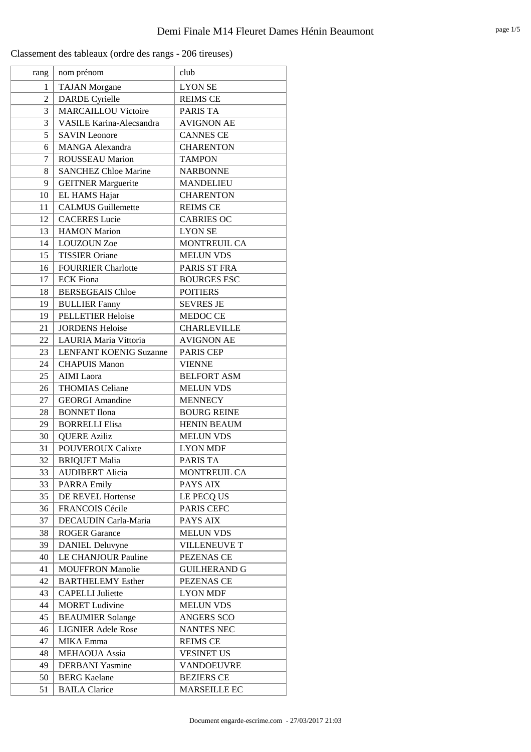| rang           | nom prénom                      | club                |
|----------------|---------------------------------|---------------------|
| 1              | <b>TAJAN</b> Morgane            | <b>LYON SE</b>      |
| $\overline{c}$ | <b>DARDE</b> Cyrielle           | <b>REIMS CE</b>     |
| 3              | <b>MARCAILLOU Victoire</b>      | PARIS TA            |
| 3              | <b>VASILE Karina-Alecsandra</b> | <b>AVIGNON AE</b>   |
| 5              | <b>SAVIN</b> Leonore            | <b>CANNES CE</b>    |
| 6              | <b>MANGA Alexandra</b>          | <b>CHARENTON</b>    |
| 7              | <b>ROUSSEAU Marion</b>          | <b>TAMPON</b>       |
| 8              | <b>SANCHEZ Chloe Marine</b>     | <b>NARBONNE</b>     |
| 9              | <b>GEITNER Marguerite</b>       | <b>MANDELIEU</b>    |
| 10             | EL HAMS Hajar                   | <b>CHARENTON</b>    |
| 11             | <b>CALMUS Guillemette</b>       | <b>REIMS CE</b>     |
| 12             | <b>CACERES</b> Lucie            | <b>CABRIES OC</b>   |
| 13             | <b>HAMON</b> Marion             | <b>LYON SE</b>      |
| 14             | <b>LOUZOUN Zoe</b>              | MONTREUIL CA        |
| 15             | <b>TISSIER Oriane</b>           | <b>MELUN VDS</b>    |
| 16             | <b>FOURRIER Charlotte</b>       | PARIS ST FRA        |
| 17             | <b>ECK Fiona</b>                | <b>BOURGES ESC</b>  |
| 18             | <b>BERSEGEAIS Chloe</b>         | <b>POITIERS</b>     |
| 19             | <b>BULLIER Fanny</b>            | <b>SEVRES JE</b>    |
| 19             | <b>PELLETIER Heloise</b>        | MEDOC CE            |
| 21             | <b>JORDENS Heloise</b>          | <b>CHARLEVILLE</b>  |
| 22             | LAURIA Maria Vittoria           | <b>AVIGNON AE</b>   |
| 23             | <b>LENFANT KOENIG Suzanne</b>   | <b>PARIS CEP</b>    |
| 24             | <b>CHAPUIS Manon</b>            | <b>VIENNE</b>       |
| 25             | <b>AIMI</b> Laora               | <b>BELFORT ASM</b>  |
| 26             | <b>THOMIAS Celiane</b>          | <b>MELUN VDS</b>    |
| 27             | <b>GEORGI Amandine</b>          | <b>MENNECY</b>      |
| 28             | <b>BONNET</b> Ilona             | <b>BOURG REINE</b>  |
| 29             | <b>BORRELLI Elisa</b>           | <b>HENIN BEAUM</b>  |
| 30             | <b>QUERE Aziliz</b>             | <b>MELUN VDS</b>    |
| 31             | <b>POUVEROUX Calixte</b>        | <b>LYON MDF</b>     |
| 32             | <b>BRIQUET Malia</b>            | <b>PARIS TA</b>     |
| 33             | <b>AUDIBERT Alicia</b>          | MONTREUIL CA        |
| 33             | <b>PARRA Emily</b>              | PAYS AIX            |
| 35             | DE REVEL Hortense               | LE PECQ US          |
| 36             | FRANCOIS Cécile                 | PARIS CEFC          |
| 37             | DECAUDIN Carla-Maria            | PAYS AIX            |
| 38             | <b>ROGER Garance</b>            | <b>MELUN VDS</b>    |
| 39             | <b>DANIEL Deluvyne</b>          | <b>VILLENEUVE T</b> |
| 40             | LE CHANJOUR Pauline             | PEZENAS CE          |
| 41             | <b>MOUFFRON Manolie</b>         | <b>GUILHERAND G</b> |
| 42             | <b>BARTHELEMY Esther</b>        | PEZENAS CE          |
| 43             | <b>CAPELLI</b> Juliette         | <b>LYON MDF</b>     |
| 44             | <b>MORET</b> Ludivine           | <b>MELUN VDS</b>    |
| 45             | <b>BEAUMIER Solange</b>         | ANGERS SCO          |
| 46             | <b>LIGNIER Adele Rose</b>       | <b>NANTES NEC</b>   |
| 47             | MIKA Emma                       | <b>REIMS CE</b>     |
| 48             | <b>MEHAOUA</b> Assia            | <b>VESINET US</b>   |
| 49             | <b>DERBANI</b> Yasmine          | <b>VANDOEUVRE</b>   |
| 50             | <b>BERG</b> Kaelane             | <b>BEZIERS CE</b>   |
| 51             | <b>BAILA Clarice</b>            | MARSEILLE EC        |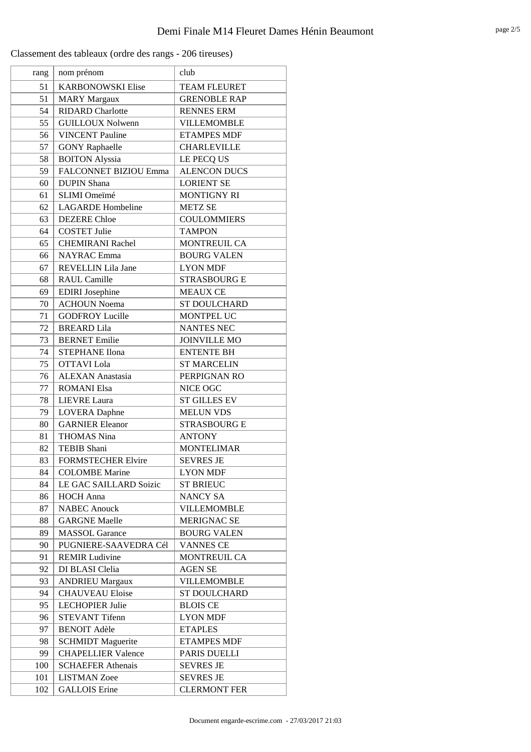| <b>KARBONOWSKI Elise</b><br><b>TEAM FLEURET</b><br>51<br><b>MARY Margaux</b><br><b>GRENOBLE RAP</b><br>51<br>54<br><b>RIDARD</b> Charlotte<br><b>RENNES ERM</b><br><b>GUILLOUX Nolwenn</b><br>55<br><b>VILLEMOMBLE</b><br>56<br><b>VINCENT</b> Pauline<br><b>ETAMPES MDF</b><br><b>CHARLEVILLE</b><br>57<br><b>GONY Raphaelle</b><br><b>BOITON Alyssia</b><br>58<br>LE PECQ US<br>FALCONNET BIZIOU Emma<br>59<br><b>ALENCON DUCS</b><br><b>LORIENT SE</b><br><b>DUPIN Shana</b><br>60<br>SLIMI Omeïmé<br><b>MONTIGNY RI</b><br>61<br><b>LAGARDE</b> Hombeline<br>62<br><b>METZ SE</b><br><b>DEZERE</b> Chloe<br><b>COULOMMIERS</b><br>63<br>64<br><b>COSTET Julie</b><br><b>TAMPON</b><br>MONTREUIL CA<br><b>CHEMIRANI Rachel</b><br>65<br><b>NAYRAC</b> Emma<br><b>BOURG VALEN</b><br>66<br>REVELLIN Lila Jane<br><b>LYON MDF</b><br>67<br><b>RAUL Camille</b><br><b>STRASBOURG E</b><br>68<br><b>EDIRI</b> Josephine<br><b>MEAUX CE</b><br>69<br><b>ACHOUN Noema</b><br>70<br><b>ST DOULCHARD</b><br>71<br><b>GODFROY Lucille</b><br>MONTPEL UC<br><b>BREARD</b> Lila<br><b>NANTES NEC</b><br>72<br><b>BERNET</b> Emilie<br><b>JOINVILLE MO</b><br>73<br>74<br><b>STEPHANE Ilona</b><br><b>ENTENTE BH</b><br>75<br><b>OTTAVI</b> Lola<br><b>ST MARCELIN</b><br><b>ALEXAN</b> Anastasia<br>PERPIGNAN RO<br>76<br><b>ROMANI Elsa</b><br>NICE OGC<br>77<br><b>ST GILLES EV</b><br>78<br><b>LIEVRE</b> Laura<br>79<br><b>LOVERA</b> Daphne<br><b>MELUN VDS</b><br><b>GARNIER Eleanor</b><br><b>STRASBOURG E</b><br>80<br><b>THOMAS Nina</b><br><b>ANTONY</b><br>81<br><b>MONTELIMAR</b><br>82<br><b>TEBIB Shani</b><br><b>FORMSTECHER Elvire</b><br><b>SEVRES JE</b><br>83<br><b>COLOMBE</b> Marine<br><b>LYON MDF</b><br>84<br>LE GAC SAILLARD Soizic<br><b>ST BRIEUC</b><br>84<br><b>HOCH</b> Anna<br>NANCY SA<br>86<br><b>NABEC</b> Anouck<br>87<br><b>VILLEMOMBLE</b><br><b>GARGNE Maelle</b><br><b>MERIGNAC SE</b><br>88<br><b>MASSOL</b> Garance<br><b>BOURG VALEN</b><br>89<br>90<br>PUGNIERE-SAAVEDRA Cél<br><b>VANNES CE</b><br><b>REMIR Ludivine</b><br>91<br><b>MONTREUIL CA</b><br>DI BLASI Clelia<br><b>AGEN SE</b><br>92<br><b>VILLEMOMBLE</b><br>93<br><b>ANDRIEU Margaux</b><br>94<br><b>CHAUVEAU Eloise</b><br><b>ST DOULCHARD</b><br>95<br><b>LECHOPIER Julie</b><br><b>BLOIS CE</b><br><b>STEVANT Tifenn</b><br><b>LYON MDF</b><br>96<br><b>BENOIT Adèle</b><br><b>ETAPLES</b><br>97<br>98<br><b>SCHMIDT Maguerite</b><br><b>ETAMPES MDF</b><br>99<br><b>CHAPELLIER Valence</b><br>PARIS DUELLI<br><b>SEVRES JE</b><br>100<br><b>SCHAEFER Athenais</b><br><b>LISTMAN</b> Zoee<br><b>SEVRES JE</b><br>101 | rang | nom prénom           | club                |
|---------------------------------------------------------------------------------------------------------------------------------------------------------------------------------------------------------------------------------------------------------------------------------------------------------------------------------------------------------------------------------------------------------------------------------------------------------------------------------------------------------------------------------------------------------------------------------------------------------------------------------------------------------------------------------------------------------------------------------------------------------------------------------------------------------------------------------------------------------------------------------------------------------------------------------------------------------------------------------------------------------------------------------------------------------------------------------------------------------------------------------------------------------------------------------------------------------------------------------------------------------------------------------------------------------------------------------------------------------------------------------------------------------------------------------------------------------------------------------------------------------------------------------------------------------------------------------------------------------------------------------------------------------------------------------------------------------------------------------------------------------------------------------------------------------------------------------------------------------------------------------------------------------------------------------------------------------------------------------------------------------------------------------------------------------------------------------------------------------------------------------------------------------------------------------------------------------------------------------------------------------------------------------------------------------------------------------------------------------------------------------------------------------------------------------------------------------------------------------------------------------------------------------------------------------------------------------------------------------------------------|------|----------------------|---------------------|
|                                                                                                                                                                                                                                                                                                                                                                                                                                                                                                                                                                                                                                                                                                                                                                                                                                                                                                                                                                                                                                                                                                                                                                                                                                                                                                                                                                                                                                                                                                                                                                                                                                                                                                                                                                                                                                                                                                                                                                                                                                                                                                                                                                                                                                                                                                                                                                                                                                                                                                                                                                                                                           |      |                      |                     |
|                                                                                                                                                                                                                                                                                                                                                                                                                                                                                                                                                                                                                                                                                                                                                                                                                                                                                                                                                                                                                                                                                                                                                                                                                                                                                                                                                                                                                                                                                                                                                                                                                                                                                                                                                                                                                                                                                                                                                                                                                                                                                                                                                                                                                                                                                                                                                                                                                                                                                                                                                                                                                           |      |                      |                     |
|                                                                                                                                                                                                                                                                                                                                                                                                                                                                                                                                                                                                                                                                                                                                                                                                                                                                                                                                                                                                                                                                                                                                                                                                                                                                                                                                                                                                                                                                                                                                                                                                                                                                                                                                                                                                                                                                                                                                                                                                                                                                                                                                                                                                                                                                                                                                                                                                                                                                                                                                                                                                                           |      |                      |                     |
|                                                                                                                                                                                                                                                                                                                                                                                                                                                                                                                                                                                                                                                                                                                                                                                                                                                                                                                                                                                                                                                                                                                                                                                                                                                                                                                                                                                                                                                                                                                                                                                                                                                                                                                                                                                                                                                                                                                                                                                                                                                                                                                                                                                                                                                                                                                                                                                                                                                                                                                                                                                                                           |      |                      |                     |
|                                                                                                                                                                                                                                                                                                                                                                                                                                                                                                                                                                                                                                                                                                                                                                                                                                                                                                                                                                                                                                                                                                                                                                                                                                                                                                                                                                                                                                                                                                                                                                                                                                                                                                                                                                                                                                                                                                                                                                                                                                                                                                                                                                                                                                                                                                                                                                                                                                                                                                                                                                                                                           |      |                      |                     |
|                                                                                                                                                                                                                                                                                                                                                                                                                                                                                                                                                                                                                                                                                                                                                                                                                                                                                                                                                                                                                                                                                                                                                                                                                                                                                                                                                                                                                                                                                                                                                                                                                                                                                                                                                                                                                                                                                                                                                                                                                                                                                                                                                                                                                                                                                                                                                                                                                                                                                                                                                                                                                           |      |                      |                     |
|                                                                                                                                                                                                                                                                                                                                                                                                                                                                                                                                                                                                                                                                                                                                                                                                                                                                                                                                                                                                                                                                                                                                                                                                                                                                                                                                                                                                                                                                                                                                                                                                                                                                                                                                                                                                                                                                                                                                                                                                                                                                                                                                                                                                                                                                                                                                                                                                                                                                                                                                                                                                                           |      |                      |                     |
|                                                                                                                                                                                                                                                                                                                                                                                                                                                                                                                                                                                                                                                                                                                                                                                                                                                                                                                                                                                                                                                                                                                                                                                                                                                                                                                                                                                                                                                                                                                                                                                                                                                                                                                                                                                                                                                                                                                                                                                                                                                                                                                                                                                                                                                                                                                                                                                                                                                                                                                                                                                                                           |      |                      |                     |
|                                                                                                                                                                                                                                                                                                                                                                                                                                                                                                                                                                                                                                                                                                                                                                                                                                                                                                                                                                                                                                                                                                                                                                                                                                                                                                                                                                                                                                                                                                                                                                                                                                                                                                                                                                                                                                                                                                                                                                                                                                                                                                                                                                                                                                                                                                                                                                                                                                                                                                                                                                                                                           |      |                      |                     |
|                                                                                                                                                                                                                                                                                                                                                                                                                                                                                                                                                                                                                                                                                                                                                                                                                                                                                                                                                                                                                                                                                                                                                                                                                                                                                                                                                                                                                                                                                                                                                                                                                                                                                                                                                                                                                                                                                                                                                                                                                                                                                                                                                                                                                                                                                                                                                                                                                                                                                                                                                                                                                           |      |                      |                     |
|                                                                                                                                                                                                                                                                                                                                                                                                                                                                                                                                                                                                                                                                                                                                                                                                                                                                                                                                                                                                                                                                                                                                                                                                                                                                                                                                                                                                                                                                                                                                                                                                                                                                                                                                                                                                                                                                                                                                                                                                                                                                                                                                                                                                                                                                                                                                                                                                                                                                                                                                                                                                                           |      |                      |                     |
|                                                                                                                                                                                                                                                                                                                                                                                                                                                                                                                                                                                                                                                                                                                                                                                                                                                                                                                                                                                                                                                                                                                                                                                                                                                                                                                                                                                                                                                                                                                                                                                                                                                                                                                                                                                                                                                                                                                                                                                                                                                                                                                                                                                                                                                                                                                                                                                                                                                                                                                                                                                                                           |      |                      |                     |
|                                                                                                                                                                                                                                                                                                                                                                                                                                                                                                                                                                                                                                                                                                                                                                                                                                                                                                                                                                                                                                                                                                                                                                                                                                                                                                                                                                                                                                                                                                                                                                                                                                                                                                                                                                                                                                                                                                                                                                                                                                                                                                                                                                                                                                                                                                                                                                                                                                                                                                                                                                                                                           |      |                      |                     |
|                                                                                                                                                                                                                                                                                                                                                                                                                                                                                                                                                                                                                                                                                                                                                                                                                                                                                                                                                                                                                                                                                                                                                                                                                                                                                                                                                                                                                                                                                                                                                                                                                                                                                                                                                                                                                                                                                                                                                                                                                                                                                                                                                                                                                                                                                                                                                                                                                                                                                                                                                                                                                           |      |                      |                     |
|                                                                                                                                                                                                                                                                                                                                                                                                                                                                                                                                                                                                                                                                                                                                                                                                                                                                                                                                                                                                                                                                                                                                                                                                                                                                                                                                                                                                                                                                                                                                                                                                                                                                                                                                                                                                                                                                                                                                                                                                                                                                                                                                                                                                                                                                                                                                                                                                                                                                                                                                                                                                                           |      |                      |                     |
|                                                                                                                                                                                                                                                                                                                                                                                                                                                                                                                                                                                                                                                                                                                                                                                                                                                                                                                                                                                                                                                                                                                                                                                                                                                                                                                                                                                                                                                                                                                                                                                                                                                                                                                                                                                                                                                                                                                                                                                                                                                                                                                                                                                                                                                                                                                                                                                                                                                                                                                                                                                                                           |      |                      |                     |
|                                                                                                                                                                                                                                                                                                                                                                                                                                                                                                                                                                                                                                                                                                                                                                                                                                                                                                                                                                                                                                                                                                                                                                                                                                                                                                                                                                                                                                                                                                                                                                                                                                                                                                                                                                                                                                                                                                                                                                                                                                                                                                                                                                                                                                                                                                                                                                                                                                                                                                                                                                                                                           |      |                      |                     |
|                                                                                                                                                                                                                                                                                                                                                                                                                                                                                                                                                                                                                                                                                                                                                                                                                                                                                                                                                                                                                                                                                                                                                                                                                                                                                                                                                                                                                                                                                                                                                                                                                                                                                                                                                                                                                                                                                                                                                                                                                                                                                                                                                                                                                                                                                                                                                                                                                                                                                                                                                                                                                           |      |                      |                     |
|                                                                                                                                                                                                                                                                                                                                                                                                                                                                                                                                                                                                                                                                                                                                                                                                                                                                                                                                                                                                                                                                                                                                                                                                                                                                                                                                                                                                                                                                                                                                                                                                                                                                                                                                                                                                                                                                                                                                                                                                                                                                                                                                                                                                                                                                                                                                                                                                                                                                                                                                                                                                                           |      |                      |                     |
|                                                                                                                                                                                                                                                                                                                                                                                                                                                                                                                                                                                                                                                                                                                                                                                                                                                                                                                                                                                                                                                                                                                                                                                                                                                                                                                                                                                                                                                                                                                                                                                                                                                                                                                                                                                                                                                                                                                                                                                                                                                                                                                                                                                                                                                                                                                                                                                                                                                                                                                                                                                                                           |      |                      |                     |
|                                                                                                                                                                                                                                                                                                                                                                                                                                                                                                                                                                                                                                                                                                                                                                                                                                                                                                                                                                                                                                                                                                                                                                                                                                                                                                                                                                                                                                                                                                                                                                                                                                                                                                                                                                                                                                                                                                                                                                                                                                                                                                                                                                                                                                                                                                                                                                                                                                                                                                                                                                                                                           |      |                      |                     |
|                                                                                                                                                                                                                                                                                                                                                                                                                                                                                                                                                                                                                                                                                                                                                                                                                                                                                                                                                                                                                                                                                                                                                                                                                                                                                                                                                                                                                                                                                                                                                                                                                                                                                                                                                                                                                                                                                                                                                                                                                                                                                                                                                                                                                                                                                                                                                                                                                                                                                                                                                                                                                           |      |                      |                     |
|                                                                                                                                                                                                                                                                                                                                                                                                                                                                                                                                                                                                                                                                                                                                                                                                                                                                                                                                                                                                                                                                                                                                                                                                                                                                                                                                                                                                                                                                                                                                                                                                                                                                                                                                                                                                                                                                                                                                                                                                                                                                                                                                                                                                                                                                                                                                                                                                                                                                                                                                                                                                                           |      |                      |                     |
|                                                                                                                                                                                                                                                                                                                                                                                                                                                                                                                                                                                                                                                                                                                                                                                                                                                                                                                                                                                                                                                                                                                                                                                                                                                                                                                                                                                                                                                                                                                                                                                                                                                                                                                                                                                                                                                                                                                                                                                                                                                                                                                                                                                                                                                                                                                                                                                                                                                                                                                                                                                                                           |      |                      |                     |
|                                                                                                                                                                                                                                                                                                                                                                                                                                                                                                                                                                                                                                                                                                                                                                                                                                                                                                                                                                                                                                                                                                                                                                                                                                                                                                                                                                                                                                                                                                                                                                                                                                                                                                                                                                                                                                                                                                                                                                                                                                                                                                                                                                                                                                                                                                                                                                                                                                                                                                                                                                                                                           |      |                      |                     |
|                                                                                                                                                                                                                                                                                                                                                                                                                                                                                                                                                                                                                                                                                                                                                                                                                                                                                                                                                                                                                                                                                                                                                                                                                                                                                                                                                                                                                                                                                                                                                                                                                                                                                                                                                                                                                                                                                                                                                                                                                                                                                                                                                                                                                                                                                                                                                                                                                                                                                                                                                                                                                           |      |                      |                     |
|                                                                                                                                                                                                                                                                                                                                                                                                                                                                                                                                                                                                                                                                                                                                                                                                                                                                                                                                                                                                                                                                                                                                                                                                                                                                                                                                                                                                                                                                                                                                                                                                                                                                                                                                                                                                                                                                                                                                                                                                                                                                                                                                                                                                                                                                                                                                                                                                                                                                                                                                                                                                                           |      |                      |                     |
|                                                                                                                                                                                                                                                                                                                                                                                                                                                                                                                                                                                                                                                                                                                                                                                                                                                                                                                                                                                                                                                                                                                                                                                                                                                                                                                                                                                                                                                                                                                                                                                                                                                                                                                                                                                                                                                                                                                                                                                                                                                                                                                                                                                                                                                                                                                                                                                                                                                                                                                                                                                                                           |      |                      |                     |
|                                                                                                                                                                                                                                                                                                                                                                                                                                                                                                                                                                                                                                                                                                                                                                                                                                                                                                                                                                                                                                                                                                                                                                                                                                                                                                                                                                                                                                                                                                                                                                                                                                                                                                                                                                                                                                                                                                                                                                                                                                                                                                                                                                                                                                                                                                                                                                                                                                                                                                                                                                                                                           |      |                      |                     |
|                                                                                                                                                                                                                                                                                                                                                                                                                                                                                                                                                                                                                                                                                                                                                                                                                                                                                                                                                                                                                                                                                                                                                                                                                                                                                                                                                                                                                                                                                                                                                                                                                                                                                                                                                                                                                                                                                                                                                                                                                                                                                                                                                                                                                                                                                                                                                                                                                                                                                                                                                                                                                           |      |                      |                     |
|                                                                                                                                                                                                                                                                                                                                                                                                                                                                                                                                                                                                                                                                                                                                                                                                                                                                                                                                                                                                                                                                                                                                                                                                                                                                                                                                                                                                                                                                                                                                                                                                                                                                                                                                                                                                                                                                                                                                                                                                                                                                                                                                                                                                                                                                                                                                                                                                                                                                                                                                                                                                                           |      |                      |                     |
|                                                                                                                                                                                                                                                                                                                                                                                                                                                                                                                                                                                                                                                                                                                                                                                                                                                                                                                                                                                                                                                                                                                                                                                                                                                                                                                                                                                                                                                                                                                                                                                                                                                                                                                                                                                                                                                                                                                                                                                                                                                                                                                                                                                                                                                                                                                                                                                                                                                                                                                                                                                                                           |      |                      |                     |
|                                                                                                                                                                                                                                                                                                                                                                                                                                                                                                                                                                                                                                                                                                                                                                                                                                                                                                                                                                                                                                                                                                                                                                                                                                                                                                                                                                                                                                                                                                                                                                                                                                                                                                                                                                                                                                                                                                                                                                                                                                                                                                                                                                                                                                                                                                                                                                                                                                                                                                                                                                                                                           |      |                      |                     |
|                                                                                                                                                                                                                                                                                                                                                                                                                                                                                                                                                                                                                                                                                                                                                                                                                                                                                                                                                                                                                                                                                                                                                                                                                                                                                                                                                                                                                                                                                                                                                                                                                                                                                                                                                                                                                                                                                                                                                                                                                                                                                                                                                                                                                                                                                                                                                                                                                                                                                                                                                                                                                           |      |                      |                     |
|                                                                                                                                                                                                                                                                                                                                                                                                                                                                                                                                                                                                                                                                                                                                                                                                                                                                                                                                                                                                                                                                                                                                                                                                                                                                                                                                                                                                                                                                                                                                                                                                                                                                                                                                                                                                                                                                                                                                                                                                                                                                                                                                                                                                                                                                                                                                                                                                                                                                                                                                                                                                                           |      |                      |                     |
|                                                                                                                                                                                                                                                                                                                                                                                                                                                                                                                                                                                                                                                                                                                                                                                                                                                                                                                                                                                                                                                                                                                                                                                                                                                                                                                                                                                                                                                                                                                                                                                                                                                                                                                                                                                                                                                                                                                                                                                                                                                                                                                                                                                                                                                                                                                                                                                                                                                                                                                                                                                                                           |      |                      |                     |
|                                                                                                                                                                                                                                                                                                                                                                                                                                                                                                                                                                                                                                                                                                                                                                                                                                                                                                                                                                                                                                                                                                                                                                                                                                                                                                                                                                                                                                                                                                                                                                                                                                                                                                                                                                                                                                                                                                                                                                                                                                                                                                                                                                                                                                                                                                                                                                                                                                                                                                                                                                                                                           |      |                      |                     |
|                                                                                                                                                                                                                                                                                                                                                                                                                                                                                                                                                                                                                                                                                                                                                                                                                                                                                                                                                                                                                                                                                                                                                                                                                                                                                                                                                                                                                                                                                                                                                                                                                                                                                                                                                                                                                                                                                                                                                                                                                                                                                                                                                                                                                                                                                                                                                                                                                                                                                                                                                                                                                           |      |                      |                     |
|                                                                                                                                                                                                                                                                                                                                                                                                                                                                                                                                                                                                                                                                                                                                                                                                                                                                                                                                                                                                                                                                                                                                                                                                                                                                                                                                                                                                                                                                                                                                                                                                                                                                                                                                                                                                                                                                                                                                                                                                                                                                                                                                                                                                                                                                                                                                                                                                                                                                                                                                                                                                                           |      |                      |                     |
|                                                                                                                                                                                                                                                                                                                                                                                                                                                                                                                                                                                                                                                                                                                                                                                                                                                                                                                                                                                                                                                                                                                                                                                                                                                                                                                                                                                                                                                                                                                                                                                                                                                                                                                                                                                                                                                                                                                                                                                                                                                                                                                                                                                                                                                                                                                                                                                                                                                                                                                                                                                                                           |      |                      |                     |
|                                                                                                                                                                                                                                                                                                                                                                                                                                                                                                                                                                                                                                                                                                                                                                                                                                                                                                                                                                                                                                                                                                                                                                                                                                                                                                                                                                                                                                                                                                                                                                                                                                                                                                                                                                                                                                                                                                                                                                                                                                                                                                                                                                                                                                                                                                                                                                                                                                                                                                                                                                                                                           |      |                      |                     |
|                                                                                                                                                                                                                                                                                                                                                                                                                                                                                                                                                                                                                                                                                                                                                                                                                                                                                                                                                                                                                                                                                                                                                                                                                                                                                                                                                                                                                                                                                                                                                                                                                                                                                                                                                                                                                                                                                                                                                                                                                                                                                                                                                                                                                                                                                                                                                                                                                                                                                                                                                                                                                           |      |                      |                     |
|                                                                                                                                                                                                                                                                                                                                                                                                                                                                                                                                                                                                                                                                                                                                                                                                                                                                                                                                                                                                                                                                                                                                                                                                                                                                                                                                                                                                                                                                                                                                                                                                                                                                                                                                                                                                                                                                                                                                                                                                                                                                                                                                                                                                                                                                                                                                                                                                                                                                                                                                                                                                                           |      |                      |                     |
|                                                                                                                                                                                                                                                                                                                                                                                                                                                                                                                                                                                                                                                                                                                                                                                                                                                                                                                                                                                                                                                                                                                                                                                                                                                                                                                                                                                                                                                                                                                                                                                                                                                                                                                                                                                                                                                                                                                                                                                                                                                                                                                                                                                                                                                                                                                                                                                                                                                                                                                                                                                                                           |      |                      |                     |
|                                                                                                                                                                                                                                                                                                                                                                                                                                                                                                                                                                                                                                                                                                                                                                                                                                                                                                                                                                                                                                                                                                                                                                                                                                                                                                                                                                                                                                                                                                                                                                                                                                                                                                                                                                                                                                                                                                                                                                                                                                                                                                                                                                                                                                                                                                                                                                                                                                                                                                                                                                                                                           |      |                      |                     |
|                                                                                                                                                                                                                                                                                                                                                                                                                                                                                                                                                                                                                                                                                                                                                                                                                                                                                                                                                                                                                                                                                                                                                                                                                                                                                                                                                                                                                                                                                                                                                                                                                                                                                                                                                                                                                                                                                                                                                                                                                                                                                                                                                                                                                                                                                                                                                                                                                                                                                                                                                                                                                           |      |                      |                     |
|                                                                                                                                                                                                                                                                                                                                                                                                                                                                                                                                                                                                                                                                                                                                                                                                                                                                                                                                                                                                                                                                                                                                                                                                                                                                                                                                                                                                                                                                                                                                                                                                                                                                                                                                                                                                                                                                                                                                                                                                                                                                                                                                                                                                                                                                                                                                                                                                                                                                                                                                                                                                                           |      |                      |                     |
|                                                                                                                                                                                                                                                                                                                                                                                                                                                                                                                                                                                                                                                                                                                                                                                                                                                                                                                                                                                                                                                                                                                                                                                                                                                                                                                                                                                                                                                                                                                                                                                                                                                                                                                                                                                                                                                                                                                                                                                                                                                                                                                                                                                                                                                                                                                                                                                                                                                                                                                                                                                                                           |      |                      |                     |
|                                                                                                                                                                                                                                                                                                                                                                                                                                                                                                                                                                                                                                                                                                                                                                                                                                                                                                                                                                                                                                                                                                                                                                                                                                                                                                                                                                                                                                                                                                                                                                                                                                                                                                                                                                                                                                                                                                                                                                                                                                                                                                                                                                                                                                                                                                                                                                                                                                                                                                                                                                                                                           |      |                      |                     |
|                                                                                                                                                                                                                                                                                                                                                                                                                                                                                                                                                                                                                                                                                                                                                                                                                                                                                                                                                                                                                                                                                                                                                                                                                                                                                                                                                                                                                                                                                                                                                                                                                                                                                                                                                                                                                                                                                                                                                                                                                                                                                                                                                                                                                                                                                                                                                                                                                                                                                                                                                                                                                           |      |                      |                     |
|                                                                                                                                                                                                                                                                                                                                                                                                                                                                                                                                                                                                                                                                                                                                                                                                                                                                                                                                                                                                                                                                                                                                                                                                                                                                                                                                                                                                                                                                                                                                                                                                                                                                                                                                                                                                                                                                                                                                                                                                                                                                                                                                                                                                                                                                                                                                                                                                                                                                                                                                                                                                                           |      |                      |                     |
|                                                                                                                                                                                                                                                                                                                                                                                                                                                                                                                                                                                                                                                                                                                                                                                                                                                                                                                                                                                                                                                                                                                                                                                                                                                                                                                                                                                                                                                                                                                                                                                                                                                                                                                                                                                                                                                                                                                                                                                                                                                                                                                                                                                                                                                                                                                                                                                                                                                                                                                                                                                                                           | 102  | <b>GALLOIS Erine</b> | <b>CLERMONT FER</b> |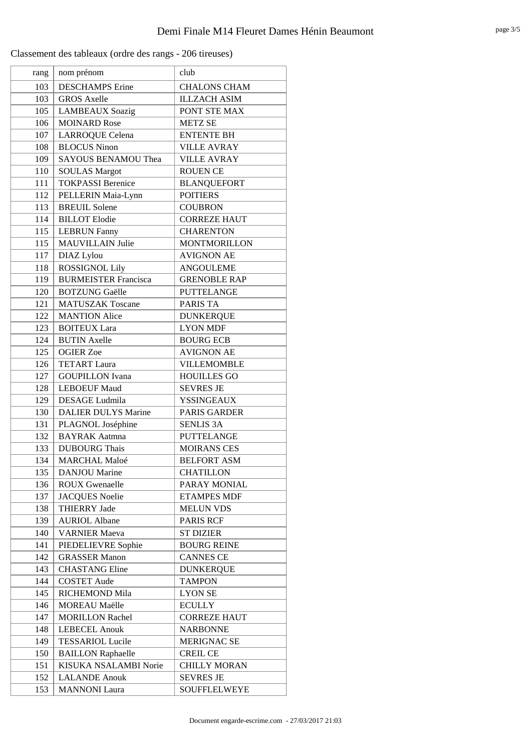| rang | nom prénom                  | club                |
|------|-----------------------------|---------------------|
| 103  | <b>DESCHAMPS</b> Erine      | <b>CHALONS CHAM</b> |
| 103  | <b>GROS Axelle</b>          | <b>ILLZACH ASIM</b> |
| 105  | <b>LAMBEAUX Soazig</b>      | PONT STE MAX        |
| 106  | <b>MOINARD Rose</b>         | <b>METZ SE</b>      |
| 107  | <b>LARROQUE Celena</b>      | <b>ENTENTE BH</b>   |
| 108  | <b>BLOCUS Ninon</b>         | <b>VILLE AVRAY</b>  |
| 109  | <b>SAYOUS BENAMOU Thea</b>  | <b>VILLE AVRAY</b>  |
| 110  | <b>SOULAS Margot</b>        | <b>ROUEN CE</b>     |
| 111  | <b>TOKPASSI Berenice</b>    | <b>BLANQUEFORT</b>  |
| 112  | PELLERIN Maia-Lynn          | <b>POITIERS</b>     |
| 113  | <b>BREUIL Solene</b>        | <b>COUBRON</b>      |
| 114  | <b>BILLOT</b> Elodie        | <b>CORREZE HAUT</b> |
| 115  | <b>LEBRUN Fanny</b>         | <b>CHARENTON</b>    |
| 115  | <b>MAUVILLAIN Julie</b>     | <b>MONTMORILLON</b> |
| 117  | DIAZ Lylou                  | <b>AVIGNON AE</b>   |
| 118  | <b>ROSSIGNOL Lily</b>       | <b>ANGOULEME</b>    |
| 119  | <b>BURMEISTER Francisca</b> | <b>GRENOBLE RAP</b> |
| 120  | <b>BOTZUNG Gaëlle</b>       | <b>PUTTELANGE</b>   |
| 121  | <b>MATUSZAK Toscane</b>     | <b>PARIS TA</b>     |
| 122  | <b>MANTION Alice</b>        | <b>DUNKERQUE</b>    |
| 123  | <b>BOITEUX Lara</b>         | <b>LYON MDF</b>     |
| 124  | <b>BUTIN Axelle</b>         | <b>BOURG ECB</b>    |
| 125  | <b>OGIER Zoe</b>            | <b>AVIGNON AE</b>   |
| 126  | <b>TETART Laura</b>         | <b>VILLEMOMBLE</b>  |
| 127  | <b>GOUPILLON</b> Ivana      | <b>HOUILLES GO</b>  |
| 128  | <b>LEBOEUF Maud</b>         | <b>SEVRES JE</b>    |
| 129  | <b>DESAGE</b> Ludmila       | <b>YSSINGEAUX</b>   |
| 130  | <b>DALIER DULYS Marine</b>  | <b>PARIS GARDER</b> |
| 131  | PLAGNOL Joséphine           | <b>SENLIS 3A</b>    |
| 132  | <b>BAYRAK Aatmna</b>        | <b>PUTTELANGE</b>   |
| 133  | <b>DUBOURG Thais</b>        | <b>MOIRANS CES</b>  |
| 134  | <b>MARCHAL Maloé</b>        | <b>BELFORT ASM</b>  |
| 135  | <b>DANJOU Marine</b>        | <b>CHATILLON</b>    |
| 136  | <b>ROUX Gwenaelle</b>       | PARAY MONIAL        |
| 137  | <b>JACQUES Noelie</b>       | <b>ETAMPES MDF</b>  |
| 138  | <b>THIERRY Jade</b>         | <b>MELUN VDS</b>    |
| 139  | <b>AURIOL Albane</b>        | PARIS RCF           |
| 140  | <b>VARNIER Maeva</b>        | <b>ST DIZIER</b>    |
| 141  | PIEDELIEVRE Sophie          | <b>BOURG REINE</b>  |
| 142  | <b>GRASSER Manon</b>        | <b>CANNES CE</b>    |
| 143  | <b>CHASTANG Eline</b>       | <b>DUNKERQUE</b>    |
| 144  | <b>COSTET Aude</b>          | <b>TAMPON</b>       |
| 145  | RICHEMOND Mila              | <b>LYON SE</b>      |
| 146  | <b>MOREAU</b> Maëlle        | <b>ECULLY</b>       |
| 147  | <b>MORILLON Rachel</b>      | <b>CORREZE HAUT</b> |
| 148  | <b>LEBECEL Anouk</b>        | <b>NARBONNE</b>     |
| 149  | <b>TESSARIOL Lucile</b>     | <b>MERIGNAC SE</b>  |
| 150  | <b>BAILLON Raphaelle</b>    | <b>CREIL CE</b>     |
| 151  | KISUKA NSALAMBI Norie       | <b>CHILLY MORAN</b> |
| 152  | <b>LALANDE Anouk</b>        | <b>SEVRES JE</b>    |
| 153  | <b>MANNONI</b> Laura        | SOUFFLELWEYE        |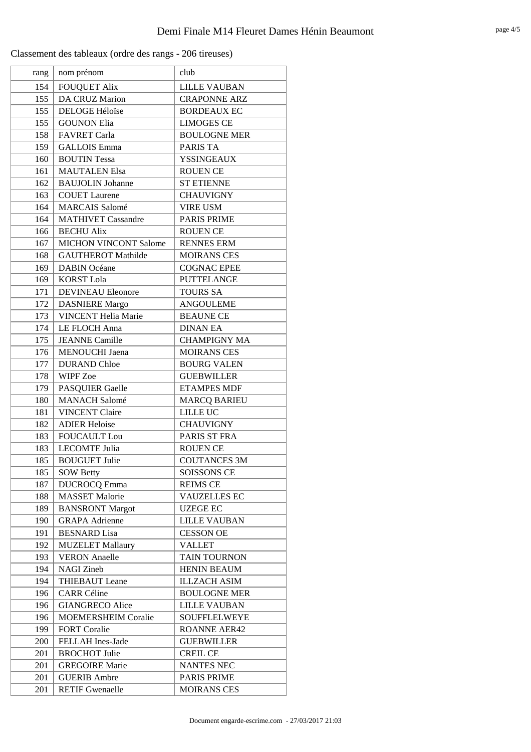| rang | nom prénom                   | club                |
|------|------------------------------|---------------------|
| 154  | <b>FOUQUET Alix</b>          | <b>LILLE VAUBAN</b> |
| 155  | DA CRUZ Marion               | <b>CRAPONNE ARZ</b> |
| 155  | <b>DELOGE Héloïse</b>        | <b>BORDEAUX EC</b>  |
| 155  | <b>GOUNON Elia</b>           | <b>LIMOGES CE</b>   |
| 158  | <b>FAVRET Carla</b>          | <b>BOULOGNE MER</b> |
| 159  | <b>GALLOIS Emma</b>          | PARIS TA            |
| 160  | <b>BOUTIN Tessa</b>          | <b>YSSINGEAUX</b>   |
| 161  | <b>MAUTALEN Elsa</b>         | <b>ROUEN CE</b>     |
| 162  | <b>BAUJOLIN</b> Johanne      | <b>ST ETIENNE</b>   |
| 163  | <b>COUET</b> Laurene         | <b>CHAUVIGNY</b>    |
| 164  | <b>MARCAIS</b> Salomé        | <b>VIRE USM</b>     |
| 164  | <b>MATHIVET Cassandre</b>    | <b>PARIS PRIME</b>  |
| 166  | <b>BECHU Alix</b>            | <b>ROUEN CE</b>     |
| 167  | <b>MICHON VINCONT Salome</b> | <b>RENNES ERM</b>   |
| 168  | <b>GAUTHEROT Mathilde</b>    | <b>MOIRANS CES</b>  |
| 169  | <b>DABIN Océane</b>          | <b>COGNAC EPEE</b>  |
| 169  | <b>KORST Lola</b>            | <b>PUTTELANGE</b>   |
| 171  | <b>DEVINEAU Eleonore</b>     | <b>TOURS SA</b>     |
| 172  | <b>DASNIERE</b> Margo        | <b>ANGOULEME</b>    |
| 173  | <b>VINCENT Helia Marie</b>   | <b>BEAUNE CE</b>    |
| 174  | LE FLOCH Anna                | <b>DINAN EA</b>     |
| 175  | <b>JEANNE</b> Camille        | <b>CHAMPIGNY MA</b> |
| 176  | <b>MENOUCHI</b> Jaena        | <b>MOIRANS CES</b>  |
| 177  | <b>DURAND Chloe</b>          | <b>BOURG VALEN</b>  |
| 178  | <b>WIPF</b> Zoe              | <b>GUEBWILLER</b>   |
| 179  | <b>PASQUIER Gaelle</b>       | <b>ETAMPES MDF</b>  |
| 180  | <b>MANACH Salomé</b>         | <b>MARCQ BARIEU</b> |
| 181  | <b>VINCENT Claire</b>        | <b>LILLE UC</b>     |
| 182  | <b>ADIER Heloise</b>         | <b>CHAUVIGNY</b>    |
| 183  | <b>FOUCAULT</b> Lou          | PARIS ST FRA        |
| 183  | <b>LECOMTE Julia</b>         | <b>ROUEN CE</b>     |
| 185  | <b>BOUGUET Julie</b>         | <b>COUTANCES 3M</b> |
| 185  | <b>SOW Betty</b>             | <b>SOISSONS CE</b>  |
| 187  | <b>DUCROCQ Emma</b>          | <b>REIMS CE</b>     |
| 188  | <b>MASSET</b> Malorie        | <b>VAUZELLES EC</b> |
| 189  | <b>BANSRONT Margot</b>       | <b>UZEGE EC</b>     |
| 190  | <b>GRAPA</b> Adrienne        | <b>LILLE VAUBAN</b> |
| 191  | <b>BESNARD</b> Lisa          | <b>CESSON OE</b>    |
| 192  | <b>MUZELET Mallaury</b>      | <b>VALLET</b>       |
| 193  | <b>VERON</b> Anaelle         | TAIN TOURNON        |
| 194  | <b>NAGI</b> Zineb            | <b>HENIN BEAUM</b>  |
| 194  | <b>THIEBAUT</b> Leane        | <b>ILLZACH ASIM</b> |
| 196  | <b>CARR</b> Céline           | <b>BOULOGNE MER</b> |
| 196  | <b>GIANGRECO Alice</b>       | <b>LILLE VAUBAN</b> |
| 196  | <b>MOEMERSHEIM Coralie</b>   | <b>SOUFFLELWEYE</b> |
| 199  | <b>FORT Coralie</b>          | <b>ROANNE AER42</b> |
| 200  | FELLAH Ines-Jade             | <b>GUEBWILLER</b>   |
| 201  | <b>BROCHOT Julie</b>         | <b>CREIL CE</b>     |
| 201  | <b>GREGOIRE Marie</b>        | <b>NANTES NEC</b>   |
| 201  | <b>GUERIB</b> Ambre          | <b>PARIS PRIME</b>  |
| 201  | <b>RETIF Gwenaelle</b>       | <b>MOIRANS CES</b>  |